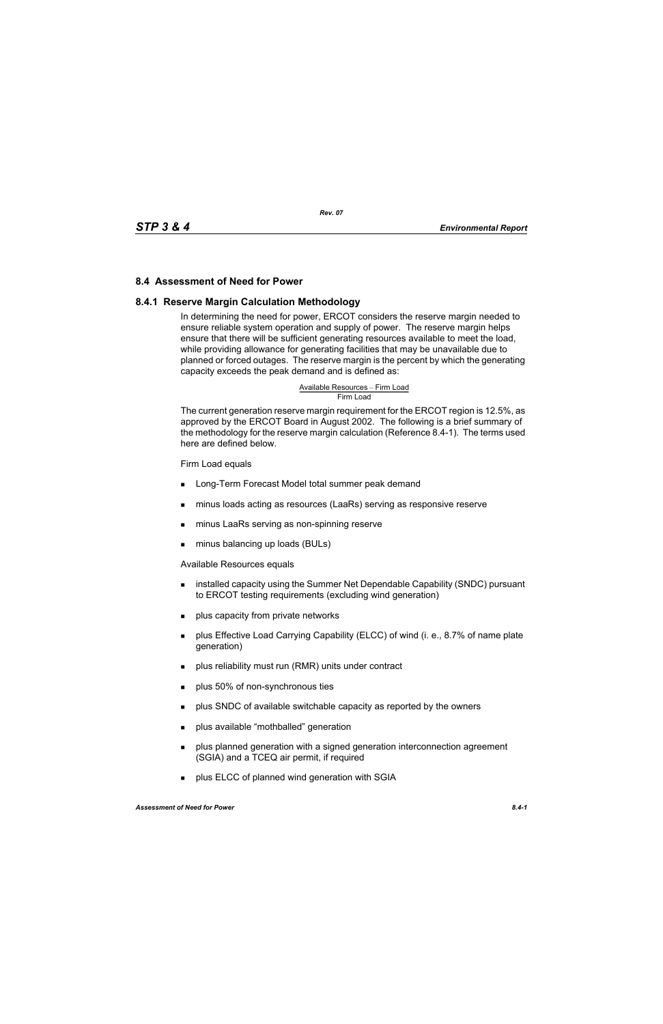### **8.4 Assessment of Need for Power**

#### **8.4.1 Reserve Margin Calculation Methodology**

In determining the need for power, ERCOT considers the reserve margin needed to ensure reliable system operation and supply of power. The reserve margin helps ensure that there will be sufficient generating resources available to meet the load, while providing allowance for generating facilities that may be unavailable due to planned or forced outages. The reserve margin is the percent by which the generating capacity exceeds the peak demand and is defined as:

# Available Resources – Firm Load<br>Firm Load

The current generation reserve margin requirement for the ERCOT region is 12.5%, as approved by the ERCOT Board in August 2002. The following is a brief summary of the methodology for the reserve margin calculation (Reference 8.4-1). The terms used here are defined below.

#### Firm Load equals

- **Long-Term Forecast Model total summer peak demand**
- minus loads acting as resources (LaaRs) serving as responsive reserve
- minus LaaRs serving as non-spinning reserve
- minus balancing up loads (BULs)

Available Resources equals

- **EXECT** installed capacity using the Summer Net Dependable Capability (SNDC) pursuant to ERCOT testing requirements (excluding wind generation)
- **plus capacity from private networks**
- **Propellish** plus Effective Load Carrying Capability (ELCC) of wind (i. e., 8.7% of name plate generation)
- plus reliability must run (RMR) units under contract
- **plus 50% of non-synchronous ties**
- **Propelled SNDC** of available switchable capacity as reported by the owners
- **plus available "mothballed" generation**
- **Proplus planned generation with a signed generation interconnection agreement** (SGIA) and a TCEQ air permit, if required
- **plus ELCC of planned wind generation with SGIA**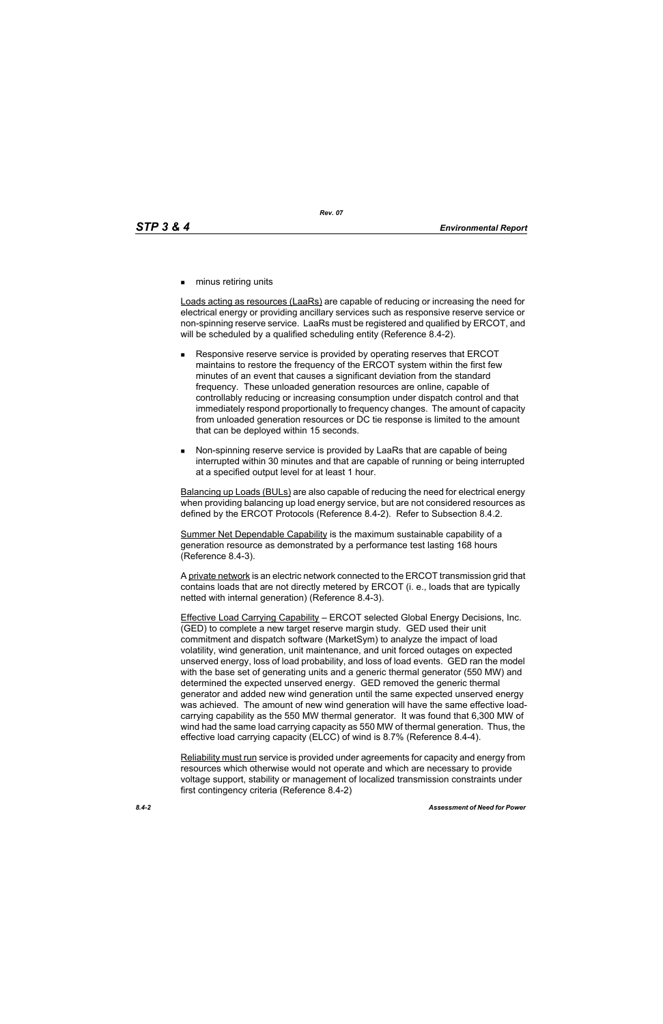**numinus retiring units** 

Loads acting as resources (LaaRs) are capable of reducing or increasing the need for electrical energy or providing ancillary services such as responsive reserve service or non-spinning reserve service. LaaRs must be registered and qualified by ERCOT, and will be scheduled by a qualified scheduling entity (Reference 8.4-2).

- Responsive reserve service is provided by operating reserves that ERCOT maintains to restore the frequency of the ERCOT system within the first few minutes of an event that causes a significant deviation from the standard frequency. These unloaded generation resources are online, capable of controllably reducing or increasing consumption under dispatch control and that immediately respond proportionally to frequency changes. The amount of capacity from unloaded generation resources or DC tie response is limited to the amount that can be deployed within 15 seconds.
- Non-spinning reserve service is provided by LaaRs that are capable of being interrupted within 30 minutes and that are capable of running or being interrupted at a specified output level for at least 1 hour.

Balancing up Loads (BULs) are also capable of reducing the need for electrical energy when providing balancing up load energy service, but are not considered resources as defined by the ERCOT Protocols (Reference 8.4-2). Refer to Subsection 8.4.2.

Summer Net Dependable Capability is the maximum sustainable capability of a generation resource as demonstrated by a performance test lasting 168 hours (Reference 8.4-3).

A private network is an electric network connected to the ERCOT transmission grid that contains loads that are not directly metered by ERCOT (i. e., loads that are typically netted with internal generation) (Reference 8.4-3).

Effective Load Carrying Capability – ERCOT selected Global Energy Decisions, Inc. (GED) to complete a new target reserve margin study. GED used their unit commitment and dispatch software (MarketSym) to analyze the impact of load volatility, wind generation, unit maintenance, and unit forced outages on expected unserved energy, loss of load probability, and loss of load events. GED ran the model with the base set of generating units and a generic thermal generator (550 MW) and determined the expected unserved energy. GED removed the generic thermal generator and added new wind generation until the same expected unserved energy was achieved. The amount of new wind generation will have the same effective loadcarrying capability as the 550 MW thermal generator. It was found that 6,300 MW of wind had the same load carrying capacity as 550 MW of thermal generation. Thus, the effective load carrying capacity (ELCC) of wind is 8.7% (Reference 8.4-4).

Reliability must run service is provided under agreements for capacity and energy from resources which otherwise would not operate and which are necessary to provide voltage support, stability or management of localized transmission constraints under first contingency criteria (Reference 8.4-2)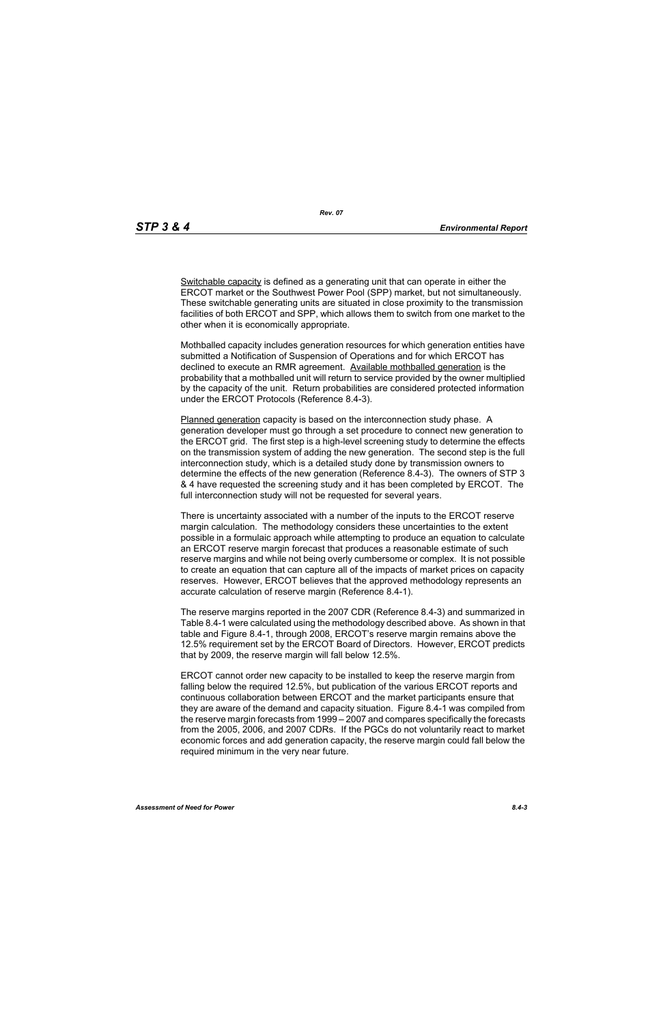*Rev. 07*

Switchable capacity is defined as a generating unit that can operate in either the ERCOT market or the Southwest Power Pool (SPP) market, but not simultaneously. These switchable generating units are situated in close proximity to the transmission facilities of both ERCOT and SPP, which allows them to switch from one market to the other when it is economically appropriate.

Mothballed capacity includes generation resources for which generation entities have submitted a Notification of Suspension of Operations and for which ERCOT has declined to execute an RMR agreement. Available mothballed generation is the probability that a mothballed unit will return to service provided by the owner multiplied by the capacity of the unit. Return probabilities are considered protected information under the ERCOT Protocols (Reference 8.4-3).

Planned generation capacity is based on the interconnection study phase. A generation developer must go through a set procedure to connect new generation to the ERCOT grid. The first step is a high-level screening study to determine the effects on the transmission system of adding the new generation. The second step is the full interconnection study, which is a detailed study done by transmission owners to determine the effects of the new generation (Reference 8.4-3). The owners of STP 3 & 4 have requested the screening study and it has been completed by ERCOT. The full interconnection study will not be requested for several years.

There is uncertainty associated with a number of the inputs to the ERCOT reserve margin calculation. The methodology considers these uncertainties to the extent possible in a formulaic approach while attempting to produce an equation to calculate an ERCOT reserve margin forecast that produces a reasonable estimate of such reserve margins and while not being overly cumbersome or complex. It is not possible to create an equation that can capture all of the impacts of market prices on capacity reserves. However, ERCOT believes that the approved methodology represents an accurate calculation of reserve margin (Reference 8.4-1).

The reserve margins reported in the 2007 CDR (Reference 8.4-3) and summarized in Table 8.4-1 were calculated using the methodology described above. As shown in that table and Figure 8.4-1, through 2008, ERCOT's reserve margin remains above the 12.5% requirement set by the ERCOT Board of Directors. However, ERCOT predicts that by 2009, the reserve margin will fall below 12.5%.

ERCOT cannot order new capacity to be installed to keep the reserve margin from falling below the required 12.5%, but publication of the various ERCOT reports and continuous collaboration between ERCOT and the market participants ensure that they are aware of the demand and capacity situation. Figure 8.4-1 was compiled from the reserve margin forecasts from 1999 – 2007 and compares specifically the forecasts from the 2005, 2006, and 2007 CDRs. If the PGCs do not voluntarily react to market economic forces and add generation capacity, the reserve margin could fall below the required minimum in the very near future.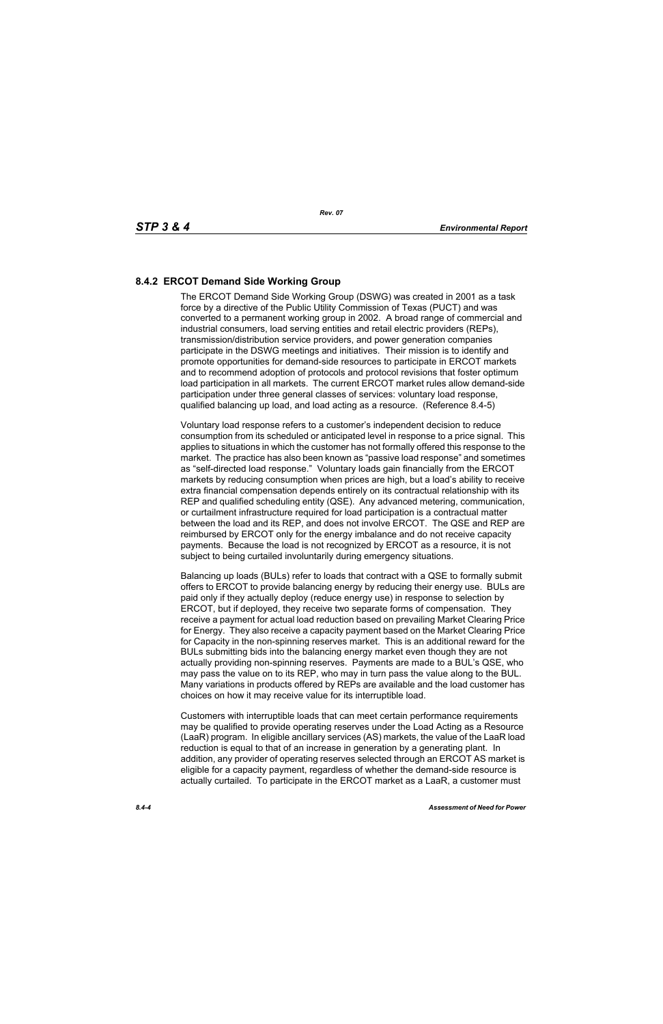## **8.4.2 ERCOT Demand Side Working Group**

The ERCOT Demand Side Working Group (DSWG) was created in 2001 as a task force by a directive of the Public Utility Commission of Texas (PUCT) and was converted to a permanent working group in 2002. A broad range of commercial and industrial consumers, load serving entities and retail electric providers (REPs), transmission/distribution service providers, and power generation companies participate in the DSWG meetings and initiatives. Their mission is to identify and promote opportunities for demand-side resources to participate in ERCOT markets and to recommend adoption of protocols and protocol revisions that foster optimum load participation in all markets. The current ERCOT market rules allow demand-side participation under three general classes of services: voluntary load response, qualified balancing up load, and load acting as a resource. (Reference 8.4-5)

Voluntary load response refers to a customer's independent decision to reduce consumption from its scheduled or anticipated level in response to a price signal. This applies to situations in which the customer has not formally offered this response to the market. The practice has also been known as "passive load response" and sometimes as "self-directed load response." Voluntary loads gain financially from the ERCOT markets by reducing consumption when prices are high, but a load's ability to receive extra financial compensation depends entirely on its contractual relationship with its REP and qualified scheduling entity (QSE). Any advanced metering, communication, or curtailment infrastructure required for load participation is a contractual matter between the load and its REP, and does not involve ERCOT. The QSE and REP are reimbursed by ERCOT only for the energy imbalance and do not receive capacity payments. Because the load is not recognized by ERCOT as a resource, it is not subject to being curtailed involuntarily during emergency situations.

Balancing up loads (BULs) refer to loads that contract with a QSE to formally submit offers to ERCOT to provide balancing energy by reducing their energy use. BULs are paid only if they actually deploy (reduce energy use) in response to selection by ERCOT, but if deployed, they receive two separate forms of compensation. They receive a payment for actual load reduction based on prevailing Market Clearing Price for Energy. They also receive a capacity payment based on the Market Clearing Price for Capacity in the non-spinning reserves market. This is an additional reward for the BULs submitting bids into the balancing energy market even though they are not actually providing non-spinning reserves. Payments are made to a BUL's QSE, who may pass the value on to its REP, who may in turn pass the value along to the BUL. Many variations in products offered by REPs are available and the load customer has choices on how it may receive value for its interruptible load.

Customers with interruptible loads that can meet certain performance requirements may be qualified to provide operating reserves under the Load Acting as a Resource (LaaR) program. In eligible ancillary services (AS) markets, the value of the LaaR load reduction is equal to that of an increase in generation by a generating plant. In addition, any provider of operating reserves selected through an ERCOT AS market is eligible for a capacity payment, regardless of whether the demand-side resource is actually curtailed. To participate in the ERCOT market as a LaaR, a customer must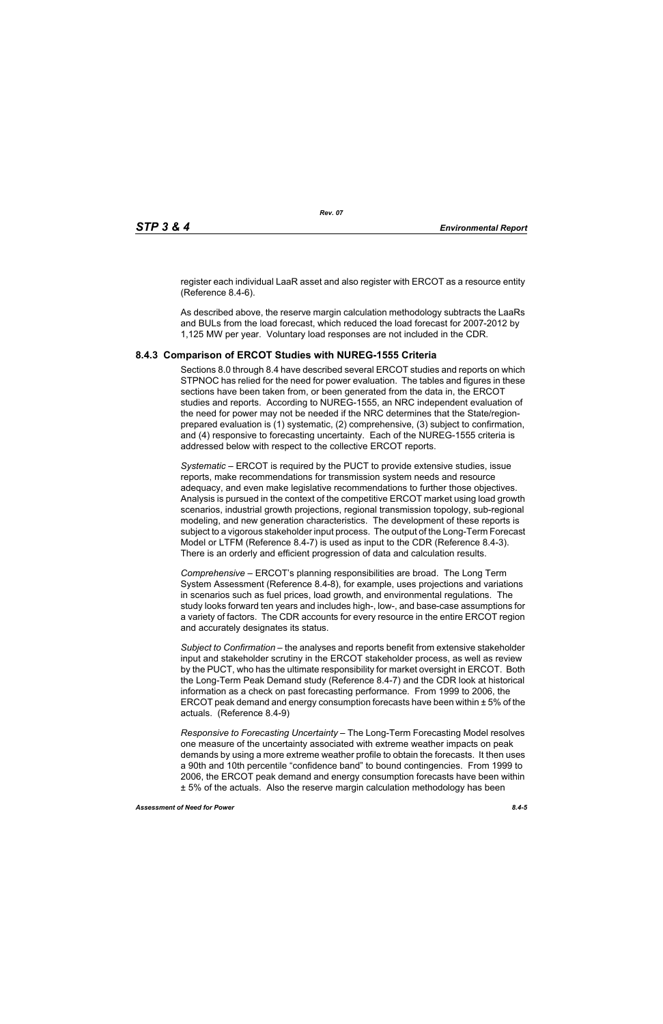[register each individual LaaR asset and also register with ERCOT as a resource entity](http://www.ercot.com/services/rq/re/index.html)  (Reference 8.4-6).

As described above, the reserve margin calculation methodology subtracts the LaaRs and BULs from the load forecast, which reduced the load forecast for 2007-2012 by 1,125 MW per year. Voluntary load responses are not included in the CDR.

#### **8.4.3 Comparison of ERCOT Studies with NUREG-1555 Criteria**

Sections 8.0 through 8.4 have described several ERCOT studies and reports on which STPNOC has relied for the need for power evaluation. The tables and figures in these sections have been taken from, or been generated from the data in, the ERCOT studies and reports. According to NUREG-1555, an NRC independent evaluation of the need for power may not be needed if the NRC determines that the State/regionprepared evaluation is (1) systematic, (2) comprehensive, (3) subject to confirmation, and (4) responsive to forecasting uncertainty. Each of the NUREG-1555 criteria is addressed below with respect to the collective ERCOT reports.

*Systematic* – ERCOT is required by the PUCT to provide extensive studies, issue reports, make recommendations for transmission system needs and resource adequacy, and even make legislative recommendations to further those objectives. Analysis is pursued in the context of the competitive ERCOT market using load growth scenarios, industrial growth projections, regional transmission topology, sub-regional modeling, and new generation characteristics. The development of these reports is subject to a vigorous stakeholder input process. The output of the Long-Term Forecast Model or LTFM (Reference 8.4-7) is used as input to the CDR (Reference 8.4-3). There is an orderly and efficient progression of data and calculation results.

*Comprehensive* – ERCOT's planning responsibilities are broad. The Long Term System Assessment (Reference 8.4-8), for example, uses projections and variations in scenarios such as fuel prices, load growth, and environmental regulations. The study looks forward ten years and includes high-, low-, and base-case assumptions for a variety of factors. The CDR accounts for every resource in the entire ERCOT region and accurately designates its status.

*Subject to Confirmation* – the analyses and reports benefit from extensive stakeholder input and stakeholder scrutiny in the ERCOT stakeholder process, as well as review by the PUCT, who has the ultimate responsibility for market oversight in ERCOT. Both the Long-Term Peak Demand study (Reference 8.4-7) and the CDR look at historical information as a check on past forecasting performance. From 1999 to 2006, the ERCOT peak demand and energy consumption forecasts have been within ± 5% of the actuals. (Reference 8.4-9)

*Responsive to Forecasting Uncertainty* – The Long-Term Forecasting Model resolves one measure of the uncertainty associated with extreme weather impacts on peak demands by using a more extreme weather profile to obtain the forecasts. It then uses a 90th and 10th percentile "confidence band" to bound contingencies. From 1999 to 2006, the ERCOT peak demand and energy consumption forecasts have been within ± 5% of the actuals. Also the reserve margin calculation methodology has been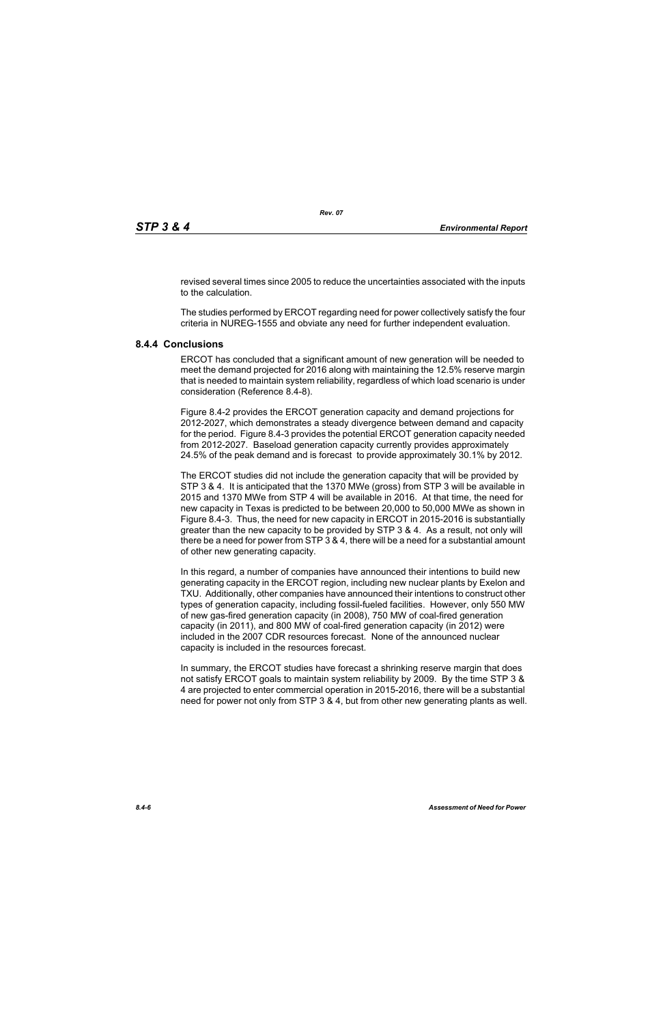revised several times since 2005 to reduce the uncertainties associated with the inputs to the calculation.

The studies performed by ERCOT regarding need for power collectively satisfy the four criteria in NUREG-1555 and obviate any need for further independent evaluation.

### **8.4.4 Conclusions**

ERCOT has concluded that a significant amount of new generation will be needed to meet the demand projected for 2016 along with maintaining the 12.5% reserve margin that is needed to maintain system reliability, regardless of which load scenario is under consideration (Reference 8.4-8).

Figure 8.4-2 provides the ERCOT generation capacity and demand projections for 2012-2027, which demonstrates a steady divergence between demand and capacity for the period. Figure 8.4-3 provides the potential ERCOT generation capacity needed from 2012-2027. Baseload generation capacity currently provides approximately 24.5% of the peak demand and is forecast to provide approximately 30.1% by 2012.

The ERCOT studies did not include the generation capacity that will be provided by STP 3 & 4. It is anticipated that the 1370 MWe (gross) from STP 3 will be available in 2015 and 1370 MWe from STP 4 will be available in 2016. At that time, the need for new capacity in Texas is predicted to be between 20,000 to 50,000 MWe as shown in Figure 8.4-3. Thus, the need for new capacity in ERCOT in 2015-2016 is substantially greater than the new capacity to be provided by STP 3 & 4. As a result, not only will there be a need for power from STP 3 & 4, there will be a need for a substantial amount of other new generating capacity.

In this regard, a number of companies have announced their intentions to build new generating capacity in the ERCOT region, including new nuclear plants by Exelon and TXU. Additionally, other companies have announced their intentions to construct other types of generation capacity, including fossil-fueled facilities. However, only 550 MW of new gas-fired generation capacity (in 2008), 750 MW of coal-fired generation capacity (in 2011), and 800 MW of coal-fired generation capacity (in 2012) were included in the 2007 CDR resources forecast. None of the announced nuclear capacity is included in the resources forecast.

In summary, the ERCOT studies have forecast a shrinking reserve margin that does not satisfy ERCOT goals to maintain system reliability by 2009. By the time STP 3 & 4 are projected to enter commercial operation in 2015-2016, there will be a substantial need for power not only from STP 3 & 4, but from other new generating plants as well.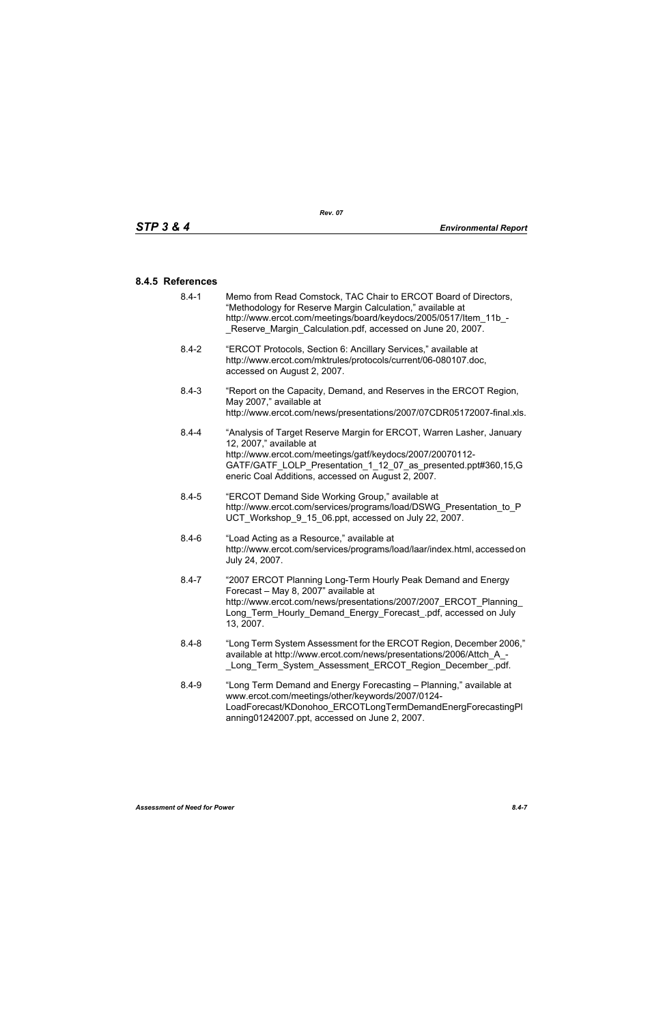#### **8.4.5 References**

- [8.4-1 Memo from Read Comstock, TAC Chair to ERCOT Board of Directors,](http://www.ercot.com/meetings/board/keydocs/2005/0517/Item_11b_-_Reserve_Margin_Calculation.pdf)  "Methodology for Reserve Margin Calculation," available at http://www.ercot.com/meetings/board/keydocs/2005/0517/Item\_11b\_-Reserve Margin Calculation.pdf, accessed on June 20, 2007.
- [8.4-2 "ERCOT Protocols, Section 6: Ancillary Services," available at](http://www.ercot.com/mktrules/protocols/current/06-080107.doc)  http://www.ercot.com/mktrules/protocols/current/06-080107.doc, accessed on August 2, 2007.
- 8.4-3 "Report on the Capacity, Demand, and Reserves in the ERCOT Region, May 2007," available at http://www.ercot.com/news/presentations/2007/07CDR05172007-final.xls.
- 8.4-4 "Analysis of Target Reserve Margin for ERCOT, Warren Lasher, January 12, 2007," available at http://www.ercot.com/meetings/gatf/keydocs/2007/20070112- GATF/GATF\_LOLP\_Presentation\_1\_12\_07\_as\_presented.ppt#360,15,G eneric Coal Additions, accessed on August 2, 2007.
- 8.4-5 "ERCOT Demand Side Working Group," available at [http://www.ercot.com/services/programs/load/DSWG\\_Presentation\\_to\\_P](http://www.ercot.com/services/programs/load/DSWG_Presentation_to_PUCT_Workshop_9_15_06.ppt) UCT\_Workshop\_9\_15\_06.ppt, accessed on July 22, 2007.
- 8.4-6 "Load Acting as a Resource," available at [http://www.ercot.com/services/programs/load/laar/index.html, accessed on](http://www.ercot.com/services/programs/load/laar/index.html)  July 24, 2007.
- [8.4-7 "2007 ERCOT Planning Long-Term Hourly Peak Demand and Energy](http://www.ercot.com/news/presentations/2007/2007_ERCOT_Planning_Long_Term_Hourly_Demand_Energy_Forecast_.pdf)  Forecast – May 8, 2007" available at http://www.ercot.com/news/presentations/2007/2007\_ERCOT\_Planning Long Term Hourly Demand Energy Forecast .pdf, accessed on July 13, 2007.
- 8.4-8 "Long Term System Assessment for the ERCOT Region, December 2006," available at http://www.ercot.com/news/presentations/2006/Attch\_A\_- Long Term System Assessment ERCOT Region December .pdf.
- 8.4-9 ["Long Term Demand and Energy Forecasting Planning," available at](http://www.ercot.com/meetings/other/keywords/2007/0124-LoadForecast/KDonohoo_ERCOTLongTermDemandEnergForecastingPlanning01242007.ppt)  www.ercot.com/meetings/other/keywords/2007/0124- [LoadForecast/KDonohoo\\_ERCOTLongTermDemandEnergForecastingPl](http://www.ercot.com/meetings/other/keywords/2007/0124-LoadForecast/KDonohoo_ERCOTLongTermDemandEnergForecastingPlanning01242007.ppt) [anning01242007.ppt, accessed on June 2, 2007.](http://www.ercot.com/meetings/other/keywords/2007/0124-LoadForecast/KDonohoo_ERCOTLongTermDemandEnergForecastingPlanning01242007.ppt)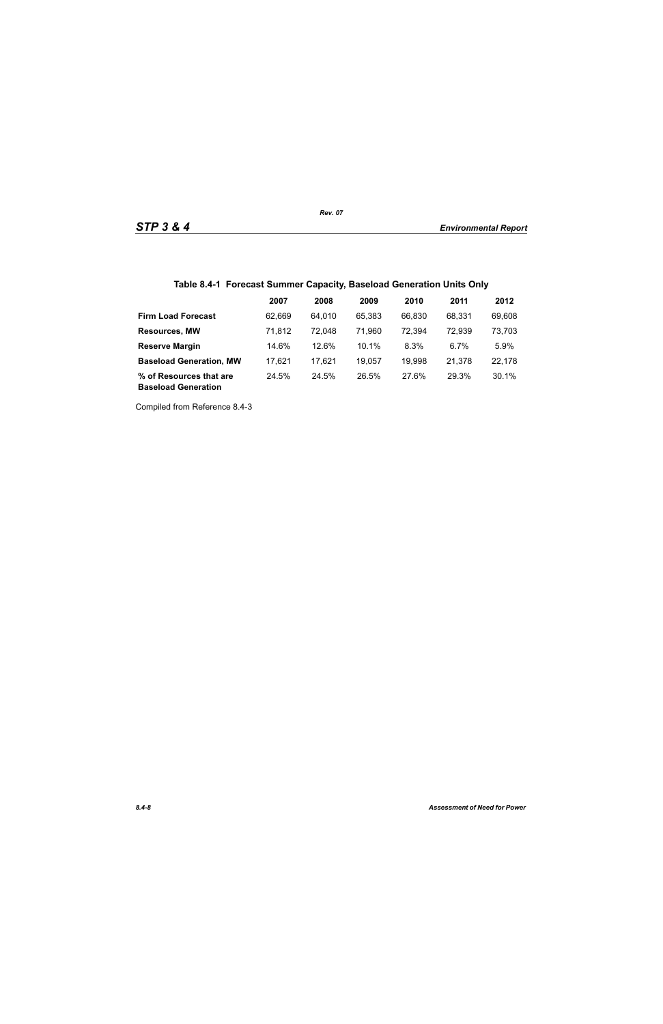## **Table 8.4-1 Forecast Summer Capacity, Baseload Generation Units Only**

|                                                       | 2007   | 2008   | 2009   | 2010   | 2011   | 2012   |
|-------------------------------------------------------|--------|--------|--------|--------|--------|--------|
| <b>Firm Load Forecast</b>                             | 62.669 | 64.010 | 65.383 | 66.830 | 68.331 | 69,608 |
| <b>Resources, MW</b>                                  | 71.812 | 72.048 | 71,960 | 72,394 | 72,939 | 73,703 |
| <b>Reserve Margin</b>                                 | 14.6%  | 12.6%  | 10.1%  | 8.3%   | 6.7%   | 5.9%   |
| <b>Baseload Generation, MW</b>                        | 17.621 | 17,621 | 19.057 | 19,998 | 21.378 | 22,178 |
| % of Resources that are<br><b>Baseload Generation</b> | 24.5%  | 24.5%  | 26.5%  | 27.6%  | 29.3%  | 30.1%  |

Compiled from Reference 8.4-3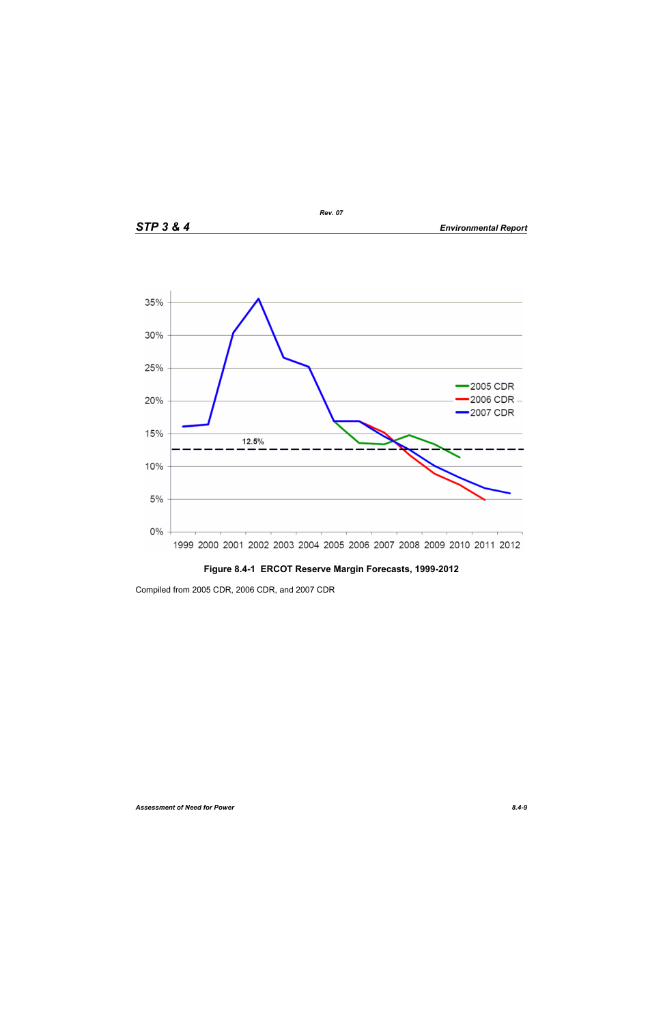

## **Figure 8.4-1 ERCOT Reserve Margin Forecasts, 1999-2012**

Compiled from 2005 CDR, 2006 CDR, and 2007 CDR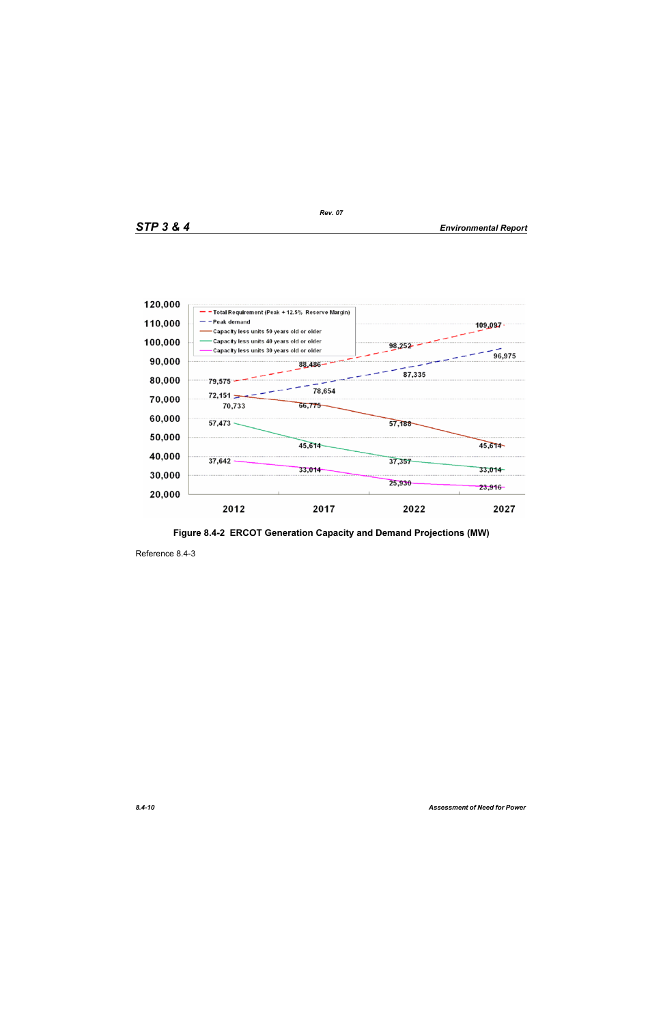

**Figure 8.4-2 ERCOT Generation Capacity and Demand Projections (MW)**

Reference 8.4-3